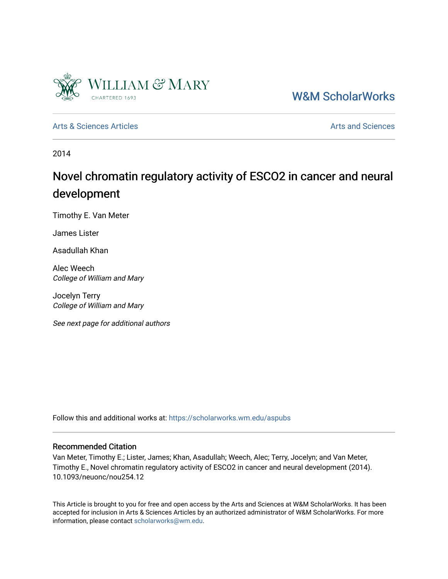

## [W&M ScholarWorks](https://scholarworks.wm.edu/)

[Arts & Sciences Articles](https://scholarworks.wm.edu/aspubs) **Articles** [Arts and Sciences](https://scholarworks.wm.edu/as) Articles Arts and Sciences Arts and Sciences Articles **Arts** and Sciences Arts and Sciences **Arts** and Sciences **Arts** and Sciences **Arts** and Sciences **Arts** and Scien

2014

# Novel chromatin regulatory activity of ESCO2 in cancer and neural development

Timothy E. Van Meter

James Lister

Asadullah Khan

Alec Weech College of William and Mary

Jocelyn Terry College of William and Mary

See next page for additional authors

Follow this and additional works at: [https://scholarworks.wm.edu/aspubs](https://scholarworks.wm.edu/aspubs?utm_source=scholarworks.wm.edu%2Faspubs%2F469&utm_medium=PDF&utm_campaign=PDFCoverPages) 

#### Recommended Citation

Van Meter, Timothy E.; Lister, James; Khan, Asadullah; Weech, Alec; Terry, Jocelyn; and Van Meter, Timothy E., Novel chromatin regulatory activity of ESCO2 in cancer and neural development (2014). 10.1093/neuonc/nou254.12

This Article is brought to you for free and open access by the Arts and Sciences at W&M ScholarWorks. It has been accepted for inclusion in Arts & Sciences Articles by an authorized administrator of W&M ScholarWorks. For more information, please contact [scholarworks@wm.edu](mailto:scholarworks@wm.edu).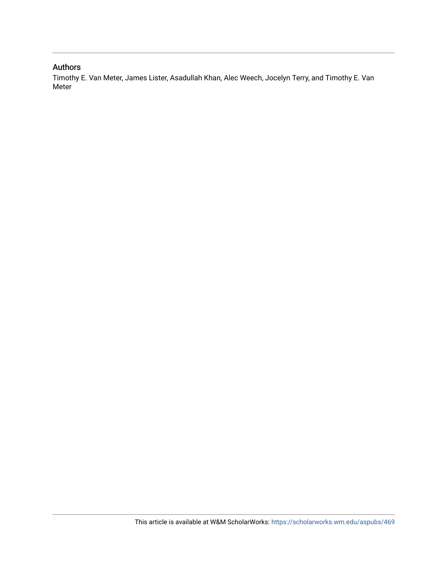### Authors

Timothy E. Van Meter, James Lister, Asadullah Khan, Alec Weech, Jocelyn Terry, and Timothy E. Van Meter